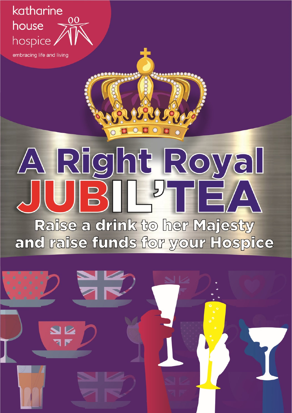### katharine house hospice,

embracing life and living

# A Right Royal UIBILL<sup>U</sup>TEA

 $\Box$   $\circ$   $\Box$ 

Raise a drink to her Majesty and raise funds for your Hospice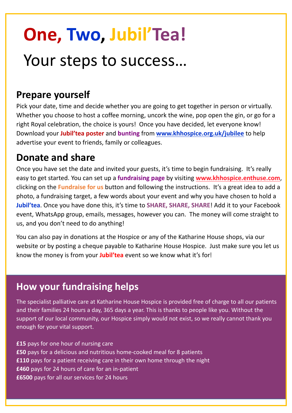# **One, Two, Jubil'Tea!**

## Your steps to success…

#### **Prepare yourself**

Pick your date, time and decide whether you are going to get together in person or virtually. Whether you choose to host a coffee morning, uncork the wine, pop open the gin, or go for a right Royal celebration, the choice is yours! Once you have decided, let everyone know! Download your **Jubil'tea poster** and **bunting** from **www.khhospice.org.uk/jubilee** to help advertise your event to friends, family or colleagues.

#### **Donate and share**

Once you have set the date and invited your guests, it's time to begin fundraising. It's really easy to get started. You can set up a **fundraising page** by visiting **www.khhospice.enthuse.com**, clicking on the **Fundraise for us** button and following the instructions. It's a great idea to add a photo, a fundraising target, a few words about your event and why you have chosen to hold a **Jubil'tea**. Once you have done this, it's time to **SHARE, SHARE, SHARE**! Add it to your Facebook event, WhatsApp group, emails, messages, however you can. The money will come straight to us, and you don't need to do anything!

You can also pay in donations at the Hospice or any of the Katharine House shops, via our website or by posting a cheque payable to Katharine House Hospice. Just make sure you let us know the money is from your **Jubil'tea** event so we know what it's for!

#### **How your fundraising helps**

The specialist palliative care at Katharine House Hospice is provided free of charge to all our patients and their families 24 hours a day, 365 days a year. This is thanks to people like you. Without the support of our local community, our Hospice simply would not exist, so we really cannot thank you enough for your vital support.

**£15** pays for one hour of nursing care **£50** pays for a delicious and nutritious home-cooked meal for 8 patients **£110** pays for a patient receiving care in their own home through the night **£460** pays for 24 hours of care for an in-patient **£6500** pays for all our services for 24 hours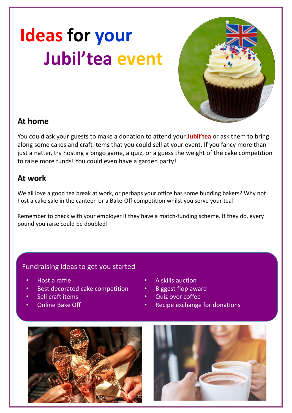# **Ideas for your Jubil'tea event**



#### **At home**

You could ask your guests to make a donation to attend your **Jubil'tea** or ask them to bring along some cakes and craft items that you could sell at your event. If you fancy more than just a natter, try hosting a bingo game, a quiz, or a guess the weight of the cake competition to raise more funds! You could even have a garden party!

#### **At work**

We all love a good tea break at work, or perhaps your office has some budding bakers? Why not host a cake sale in the canteen or a Bake-Off competition whilst you serve your tea!

Remember to check with your employer if they have a match-funding scheme. If they do, every pound you raise could be doubled!

#### Fundraising ideas to get you started

- Host a raffle
- Best decorated cake competition
- Sell craft items
- Online Bake Off
- A skills auction
- Biggest flop award
- Quiz over coffee
- Recipe exchange for donations